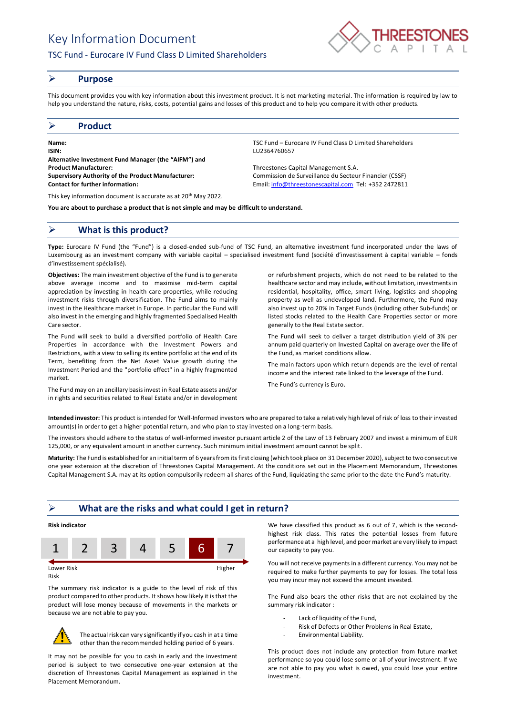# Key Information Document

# TSC Fund - Eurocare IV Fund Class D Limited Shareholders



#### ➢ **Purpose**

This document provides you with key information about this investment product. It is not marketing material. The information is required by law to help you understand the nature, risks, costs, potential gains and losses of this product and to help you compare it with other products.

### ➢ **Product**

**Name:** TSC Fund – Eurocare IV Fund Class D Limited Shareholders **ISIN:** LU2364760657 **Alternative Investment Fund Manager (the "AIFM") and Product Manufacturer:** Threestones Capital Management S.A. **Supervisory Authority of the Product Manufacturer:** Commission de Surveillance du Secteur Financier (CSSF) **Contact for further information:** Email[: info@threestonescapital.com](mailto:info@threestonescapital.com) Tel: +352 2472811

This key information document is accurate as at 20<sup>th</sup> May 2022.

**You are about to purchase a product that is not simple and may be difficult to understand.**

## ➢ **What is this product?**

**Type:** Eurocare IV Fund (the "Fund") is a closed-ended sub-fund of TSC Fund, an alternative investment fund incorporated under the laws of Luxembourg as an investment company with variable capital – specialised investment fund (société d'investissement à capital variable – fonds d'investissement spécialisé).

**Objectives:** The main investment objective of the Fund is to generate above average income and to maximise mid-term capital appreciation by investing in health care properties, while reducing investment risks through diversification. The Fund aims to mainly invest in the Healthcare market in Europe. In particular the Fund will also invest in the emerging and highly fragmented Specialised Health Care sector.

The Fund will seek to build a diversified portfolio of Health Care Properties in accordance with the Investment Powers and Restrictions, with a view to selling its entire portfolio at the end of its Term, benefiting from the Net Asset Value growth during the Investment Period and the "portfolio effect" in a highly fragmented market.

The Fund may on an ancillary basis invest in Real Estate assets and/or in rights and securities related to Real Estate and/or in development

or refurbishment projects, which do not need to be related to the healthcare sector and may include, without limitation, investments in residential, hospitality, office, smart living, logistics and shopping property as well as undeveloped land. Furthermore, the Fund may

also invest up to 20% in Target Funds (including other Sub-funds) or listed stocks related to the Health Care Properties sector or more generally to the Real Estate sector.

The Fund will seek to deliver a target distribution yield of 3% per annum paid quarterly on Invested Capital on average over the life of the Fund, as market conditions allow.

The main factors upon which return depends are the level of rental income and the interest rate linked to the leverage of the Fund.

The Fund's currency is Euro.

**Intended investor:** This product is intended for Well-Informed investors who are prepared to take a relatively high level of risk of loss to their invested amount(s) in order to get a higher potential return, and who plan to stay invested on a long-term basis.

The investors should adhere to the status of well-informed investor pursuant article 2 of the Law of 13 February 2007 and invest a minimum of EUR 125,000, or any equivalent amount in another currency. Such minimum initial investment amount cannot be split.

**Maturity:** The Fund is established for an initial term of 6 years from its first closing (which took place on 31 December 2020), subject to two consecutive one year extension at the discretion of Threestones Capital Management. At the conditions set out in the Placement Memorandum, Threestones Capital Management S.A. may at its option compulsorily redeem all shares of the Fund, liquidating the same prior to the date the Fund's maturity.

## ➢ **What are the risks and what could I get in return?**



Risk

The summary risk indicator is a guide to the level of risk of this product compared to other products. It shows how likely it is that the product will lose money because of movements in the markets or because we are not able to pay you.



The actual risk can vary significantly if you cash in at a time other than the recommended holding period of 6 years.

It may not be possible for you to cash in early and the investment period is subject to two consecutive one-year extension at the discretion of Threestones Capital Management as explained in the Placement Memorandum.

We have classified this product as 6 out of 7, which is the secondhighest risk class. This rates the potential losses from future performance at a high level, and poor market are very likely to impact our capacity to pay you.

You will not receive payments in a different currency. You may not be required to make further payments to pay for losses. The total loss you may incur may not exceed the amount invested.

The Fund also bears the other risks that are not explained by the summary risk indicator :

- Lack of liquidity of the Fund,
- Risk of Defects or Other Problems in Real Estate,
- Environmental Liability.

This product does not include any protection from future market performance so you could lose some or all of your investment. If we are not able to pay you what is owed, you could lose your entire investment.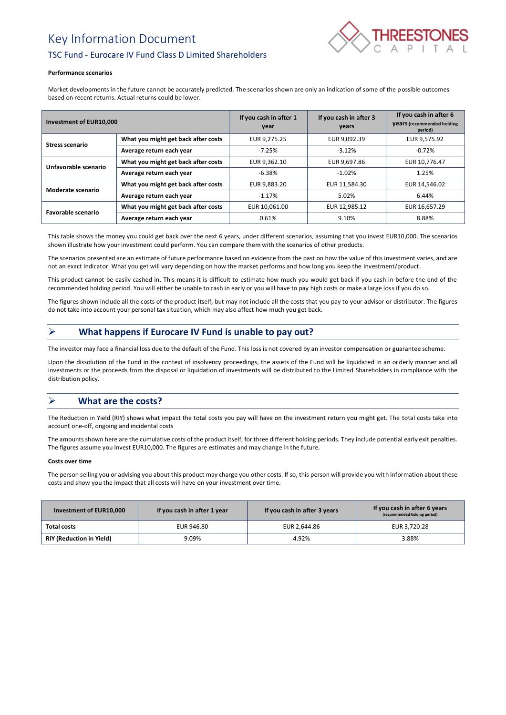# Key Information Document



# TSC Fund - Eurocare IV Fund Class D Limited Shareholders

#### **Performance scenarios**

Market developments in the future cannot be accurately predicted. The scenarios shown are only an indication of some of the possible outcomes based on recent returns. Actual returns could be lower.

| Investment of EUR10,000   |                                     | If you cash in after 1<br>year | If you cash in after 3<br>years | If you cash in after 6<br><b>Vears</b> (recommended holding<br>period) |
|---------------------------|-------------------------------------|--------------------------------|---------------------------------|------------------------------------------------------------------------|
| <b>Stress scenario</b>    | What you might get back after costs | EUR 9,275.25                   | EUR 9,092.39                    | EUR 9,575.92                                                           |
|                           | Average return each year            | $-7.25%$                       | $-3.12%$                        | $-0.72%$                                                               |
| Unfavorable scenario      | What you might get back after costs | EUR 9.362.10                   | EUR 9,697.86                    | EUR 10,776.47                                                          |
|                           | Average return each year            | $-6.38%$                       | $-1.02%$                        | 1.25%                                                                  |
| Moderate scenario         | What you might get back after costs | EUR 9,883.20                   | EUR 11,584.30                   | EUR 14,546.02                                                          |
|                           | Average return each year            | $-1.17%$                       | 5.02%                           | 6.44%                                                                  |
| <b>Favorable scenario</b> | What you might get back after costs | EUR 10.061.00                  | EUR 12,985.12                   | EUR 16,657.29                                                          |
|                           | Average return each year            | 0.61%                          | 9.10%                           | 8.88%                                                                  |

This table shows the money you could get back over the next 6 years, under different scenarios, assuming that you invest EUR10,000. The scenarios shown illustrate how your investment could perform. You can compare them with the scenarios of other products.

The scenarios presented are an estimate of future performance based on evidence from the past on how the value of this investment varies, and are not an exact indicator. What you get will vary depending on how the market performs and how long you keep the investment/product.

This product cannot be easily cashed in. This means it is difficult to estimate how much you would get back if you cash in before the end of the recommended holding period. You will either be unable to cash in early or you will have to pay high costs or make a large loss if you do so.

The figures shown include all the costs of the product itself, but may not include all the costs that you pay to your advisor or distributor. The figures do not take into account your personal tax situation, which may also affect how much you get back.

# ➢ **What happens if Eurocare IV Fund is unable to pay out?**

The investor may face a financial loss due to the default of the Fund. This loss is not covered by an investor compensation or guarantee scheme.

Upon the dissolution of the Fund in the context of insolvency proceedings, the assets of the Fund will be liquidated in an orderly manner and all investments or the proceeds from the disposal or liquidation of investments will be distributed to the Limited Shareholders in compliance with the distribution policy.

# ➢ **What are the costs?**

The Reduction in Yield (RIY) shows what impact the total costs you pay will have on the investment return you might get. The total costs take into account one-off, ongoing and incidental costs

The amounts shown here are the cumulative costs of the product itself, for three different holding periods. They include potential early exit penalties. The figures assume you invest EUR10,000. The figures are estimates and may change in the future.

#### **Costs over time**

The person selling you or advising you about this product may charge you other costs. If so, this person will provide you with information about these costs and show you the impact that all costs will have on your investment over time.

| Investment of EUR10,000         | If you cash in after 1 year | If you cash in after 3 years | If you cash in after 6 years<br>(recommended holding period) |
|---------------------------------|-----------------------------|------------------------------|--------------------------------------------------------------|
| Total costs                     | EUR 946.80                  | EUR 2,644.86                 | EUR 3.720.28                                                 |
| <b>RIY (Reduction in Yield)</b> | 9.09%                       | 4.92%                        | 3.88%                                                        |